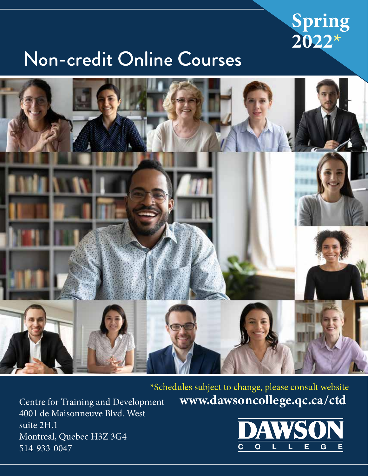

# Non-credit Online Courses



### www.dawsoncollege.qc.ca/ctd \*Schedules subject to change, please consult website

 $\overline{O}$ G Е

Centre for Training and Development 4001 de Maisonneuve Blvd. West suite 2H.1 Montreal, Quebec H3Z 3G4 514-933-0047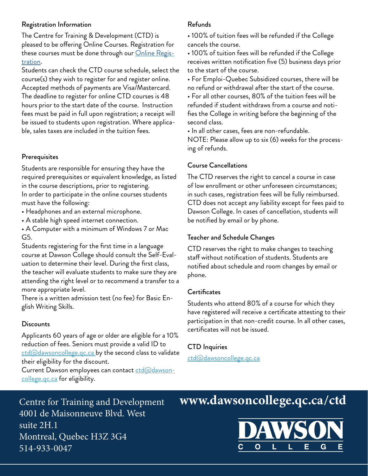#### Registration Information

The Centre for Training & Development (CTD) is pleased to be offering Online Courses. Registration for these courses must be done through our Online Registration.

Students can check the CTD course schedule, select the course(s) they wish to register for and register online. Accepted methods of payments are Visa/Mastercard. The deadline to register for online CTD courses is 48 hours prior to the start date of the course. Instruction fees must be paid in full upon registration; a receipt will be issued to students upon registration. Where applicable, sales taxes are included in the tuition fees.

#### **Prerequisites**

Students are responsible for ensuring they have the required prerequisites or equivalent knowledge, as listed in the course descriptions, prior to registering. In order to participate in the online courses students must have the following:

• Headphones and an external microphone.

• A stable high speed internet connection.

• A Computer with a minimum of Windows 7 or Mac G5.

Students registering for the first time in a language course at Dawson College should consult the Self-Evaluation to determine their level. During the first class, the teacher will evaluate students to make sure they are attending the right level or to recommend a transfer to a more appropriate level.

There is a written admission test (no fee) for Basic English Writing Skills.

#### **Discounts**

Applicants 60 years of age or older are eligible for a 10% reduction of fees. Seniors must provide a valid ID to <u>ctd@dawsoncollege.qc.ca</u> by the second class to validate their eligibility for the discount.

Current Dawson employees can contact ctd@dawson-<u>college.qc.ca</u> for eligibility.

#### Refunds

• 100% of tuition fees will be refunded if the College cancels the course.

• 100% of tuition fees will be refunded if the College receives written notification five (5) business days prior to the start of the course.

• For Emploi-Quebec Subsidized courses, there will be no refund or withdrawal after the start of the course.

• For all other courses, 80% of the tuition fees will be refunded if student withdraws from a course and notifies the College in writing before the beginning of the second class.

• In all other cases, fees are non-refundable.

NOTE: Please allow up to six (6) weeks for the processing of refunds.

#### Course Cancellations

The CTD reserves the right to cancel a course in case of low enrollment or other unforeseen circumstances; in such cases, registration fees will be fully reimbursed. CTD does not accept any liability except for fees paid to Dawson College. In cases of cancellation, students will be notified by email or by phone.

#### Teacher and Schedule Changes

CTD reserves the right to make changes to teaching staff without notification of students. Students are notified about schedule and room changes by email or phone.

#### **Certificates**

Students who attend 80% of a course for which they have registered will receive a certificate attesting to their participation in that non-credit course. In all other cases, certificates will not be issued.

#### CTD Inquiries

ctd@dawsoncollege.qc.ca

Centre for Training and Development 4001 de Maisonneuve Blvd. West suite 2H.1 Montreal, Quebec H3Z 3G4 514-933-0047

## www.dawsoncollege.qc.ca/ctd

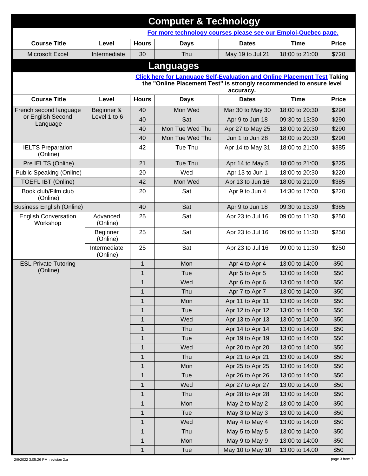| <b>Computer &amp; Technology</b>                               |                                                                                                                                                                     |              |                  |                  |                |              |
|----------------------------------------------------------------|---------------------------------------------------------------------------------------------------------------------------------------------------------------------|--------------|------------------|------------------|----------------|--------------|
| For more technology courses please see our Emploi-Quebec page. |                                                                                                                                                                     |              |                  |                  |                |              |
| <b>Course Title</b>                                            | Level                                                                                                                                                               | <b>Hours</b> | <b>Days</b>      | <b>Dates</b>     | <b>Time</b>    | <b>Price</b> |
| Microsoft Excel                                                | Intermediate                                                                                                                                                        | 30           | Thu              | May 19 to Jul 21 | 18:00 to 21:00 | \$720        |
|                                                                |                                                                                                                                                                     |              | <b>Languages</b> |                  |                |              |
|                                                                |                                                                                                                                                                     |              |                  |                  |                |              |
|                                                                | <b>Click here for Language Self-Evaluation and Online Placement Test Taking</b><br>the "Online Placement Test" is strongly recommended to ensure level<br>accuracy. |              |                  |                  |                |              |
| <b>Course Title</b>                                            | Level                                                                                                                                                               | <b>Hours</b> | <b>Days</b>      | <b>Dates</b>     | <b>Time</b>    | <b>Price</b> |
| French second language                                         | Beginner &                                                                                                                                                          | 40           | Mon Wed          | Mar 30 to May 30 | 18:00 to 20:30 | \$290        |
| or English Second                                              | Level 1 to 6                                                                                                                                                        | 40           | Sat              | Apr 9 to Jun 18  | 09:30 to 13:30 | \$290        |
| Language                                                       |                                                                                                                                                                     | 40           | Mon Tue Wed Thu  | Apr 27 to May 25 | 18:00 to 20:30 | \$290        |
|                                                                |                                                                                                                                                                     | 40           | Mon Tue Wed Thu  | Jun 1 to Jun 28  | 18:00 to 20:30 | \$290        |
| <b>IELTS Preparation</b><br>(Online)                           |                                                                                                                                                                     | 42           | Tue Thu          | Apr 14 to May 31 | 18:00 to 21:00 | \$385        |
| Pre IELTS (Online)                                             |                                                                                                                                                                     | 21           | Tue Thu          | Apr 14 to May 5  | 18:00 to 21:00 | \$225        |
| Public Speaking (Online)                                       |                                                                                                                                                                     | 20           | Wed              | Apr 13 to Jun 1  | 18:00 to 20:30 | \$220        |
| <b>TOEFL IBT (Online)</b>                                      |                                                                                                                                                                     | 42           | Mon Wed          | Apr 13 to Jun 16 | 18:00 to 21:00 | \$385        |
| Book club/Film club<br>(Online)                                |                                                                                                                                                                     | 20           | Sat              | Apr 9 to Jun 4   | 14:30 to 17:00 | \$220        |
| <b>Business English (Online)</b>                               |                                                                                                                                                                     | 40           | Sat              | Apr 9 to Jun 18  | 09:30 to 13:30 | \$385        |
| <b>English Conversation</b><br>Workshop                        | Advanced<br>(Online)                                                                                                                                                | 25           | Sat              | Apr 23 to Jul 16 | 09:00 to 11:30 | \$250        |
|                                                                | Beginner<br>(Online)                                                                                                                                                | 25           | Sat              | Apr 23 to Jul 16 | 09:00 to 11:30 | \$250        |
|                                                                | Intermediate<br>(Online)                                                                                                                                            | 25           | Sat              | Apr 23 to Jul 16 | 09:00 to 11:30 | \$250        |
| <b>ESL Private Tutoring</b>                                    |                                                                                                                                                                     | $\mathbf{1}$ | Mon              | Apr 4 to Apr 4   | 13:00 to 14:00 | \$50         |
| (Online)                                                       |                                                                                                                                                                     | $\mathbf{1}$ | <b>Tue</b>       | Apr 5 to Apr 5   | 13:00 to 14:00 | \$50         |
|                                                                |                                                                                                                                                                     | $\mathbf{1}$ | Wed              | Apr 6 to Apr 6   | 13:00 to 14:00 | \$50         |
|                                                                |                                                                                                                                                                     | 1            | Thu              | Apr 7 to Apr 7   | 13:00 to 14:00 | \$50         |
|                                                                |                                                                                                                                                                     | $\mathbf{1}$ | Mon              | Apr 11 to Apr 11 | 13:00 to 14:00 | \$50         |
|                                                                |                                                                                                                                                                     | $\mathbf{1}$ | Tue              | Apr 12 to Apr 12 | 13:00 to 14:00 | \$50         |
|                                                                |                                                                                                                                                                     | $\mathbf{1}$ | Wed              | Apr 13 to Apr 13 | 13:00 to 14:00 | \$50         |
|                                                                |                                                                                                                                                                     | $\mathbf{1}$ | Thu              | Apr 14 to Apr 14 | 13:00 to 14:00 | \$50         |
|                                                                |                                                                                                                                                                     | 1            | Tue              | Apr 19 to Apr 19 | 13:00 to 14:00 | \$50         |
|                                                                |                                                                                                                                                                     | $\mathbf{1}$ | Wed              | Apr 20 to Apr 20 | 13:00 to 14:00 | \$50         |
|                                                                |                                                                                                                                                                     | $\mathbf{1}$ | Thu              | Apr 21 to Apr 21 | 13:00 to 14:00 | \$50         |
|                                                                |                                                                                                                                                                     | $\mathbf{1}$ | Mon              | Apr 25 to Apr 25 | 13:00 to 14:00 | \$50         |
|                                                                |                                                                                                                                                                     | $\mathbf{1}$ | Tue              | Apr 26 to Apr 26 | 13:00 to 14:00 | \$50         |
|                                                                |                                                                                                                                                                     | $\mathbf{1}$ | Wed              | Apr 27 to Apr 27 | 13:00 to 14:00 | \$50         |
|                                                                |                                                                                                                                                                     | $\mathbf{1}$ | Thu              | Apr 28 to Apr 28 | 13:00 to 14:00 | \$50         |
|                                                                |                                                                                                                                                                     | 1            | Mon              | May 2 to May 2   | 13:00 to 14:00 | \$50         |
|                                                                |                                                                                                                                                                     | $\mathbf{1}$ | Tue              | May 3 to May 3   | 13:00 to 14:00 | \$50         |
|                                                                |                                                                                                                                                                     | $\mathbf{1}$ | Wed              | May 4 to May 4   | 13:00 to 14:00 | \$50         |
|                                                                |                                                                                                                                                                     | $\mathbf{1}$ | Thu              | May 5 to May 5   | 13:00 to 14:00 | \$50         |
|                                                                |                                                                                                                                                                     | $\mathbf{1}$ | Mon              | May 9 to May 9   | 13:00 to 14:00 | \$50         |
|                                                                |                                                                                                                                                                     | $\mathbf{1}$ | Tue              | May 10 to May 10 | 13:00 to 14:00 | \$50         |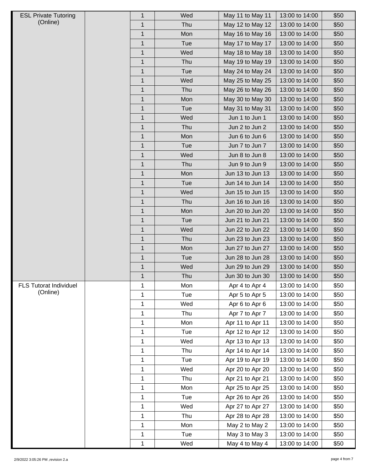| <b>ESL Private Tutoring</b>   | 1            | Wed | May 11 to May 11 | 13:00 to 14:00 | \$50 |
|-------------------------------|--------------|-----|------------------|----------------|------|
| (Online)                      | $\mathbf 1$  | Thu | May 12 to May 12 | 13:00 to 14:00 | \$50 |
|                               | $\mathbf{1}$ | Mon | May 16 to May 16 | 13:00 to 14:00 | \$50 |
|                               | $\mathbf 1$  | Tue | May 17 to May 17 | 13:00 to 14:00 | \$50 |
|                               | $\mathbf{1}$ | Wed | May 18 to May 18 | 13:00 to 14:00 | \$50 |
|                               | $\mathbf{1}$ | Thu | May 19 to May 19 | 13:00 to 14:00 | \$50 |
|                               | $\mathbf 1$  | Tue | May 24 to May 24 | 13:00 to 14:00 | \$50 |
|                               | 1            | Wed | May 25 to May 25 | 13:00 to 14:00 | \$50 |
|                               | $\mathbf 1$  | Thu | May 26 to May 26 | 13:00 to 14:00 | \$50 |
|                               | $\mathbf{1}$ | Mon | May 30 to May 30 | 13:00 to 14:00 | \$50 |
|                               | $\mathbf{1}$ | Tue | May 31 to May 31 | 13:00 to 14:00 | \$50 |
|                               | $\mathbf{1}$ | Wed | Jun 1 to Jun 1   | 13:00 to 14:00 | \$50 |
|                               | $\mathbf{1}$ | Thu | Jun 2 to Jun 2   | 13:00 to 14:00 | \$50 |
|                               | $\mathbf 1$  | Mon | Jun 6 to Jun 6   | 13:00 to 14:00 | \$50 |
|                               | $\mathbf{1}$ | Tue | Jun 7 to Jun 7   | 13:00 to 14:00 | \$50 |
|                               | $\mathbf 1$  | Wed | Jun 8 to Jun 8   | 13:00 to 14:00 | \$50 |
|                               | $\mathbf{1}$ | Thu | Jun 9 to Jun 9   | 13:00 to 14:00 | \$50 |
|                               | $\mathbf{1}$ | Mon | Jun 13 to Jun 13 | 13:00 to 14:00 | \$50 |
|                               | $\mathbf{1}$ | Tue | Jun 14 to Jun 14 | 13:00 to 14:00 | \$50 |
|                               | $\mathbf{1}$ | Wed | Jun 15 to Jun 15 | 13:00 to 14:00 | \$50 |
|                               | $\mathbf 1$  | Thu | Jun 16 to Jun 16 | 13:00 to 14:00 | \$50 |
|                               | $\mathbf{1}$ | Mon | Jun 20 to Jun 20 | 13:00 to 14:00 | \$50 |
|                               | $\mathbf 1$  | Tue | Jun 21 to Jun 21 | 13:00 to 14:00 | \$50 |
|                               | $\mathbf{1}$ | Wed | Jun 22 to Jun 22 | 13:00 to 14:00 | \$50 |
|                               | $\mathbf 1$  | Thu | Jun 23 to Jun 23 | 13:00 to 14:00 | \$50 |
|                               | $\mathbf 1$  | Mon | Jun 27 to Jun 27 | 13:00 to 14:00 | \$50 |
|                               | $\mathbf 1$  | Tue | Jun 28 to Jun 28 | 13:00 to 14:00 | \$50 |
|                               | $\mathbf 1$  | Wed | Jun 29 to Jun 29 | 13:00 to 14:00 | \$50 |
|                               | $\mathbf 1$  | Thu | Jun 30 to Jun 30 | 13:00 to 14:00 | \$50 |
| <b>FLS Tutorat Individuel</b> | 1            | Mon | Apr 4 to Apr 4   | 13:00 to 14:00 | \$50 |
| (Online)                      | $\mathbf 1$  | Tue | Apr 5 to Apr 5   | 13:00 to 14:00 | \$50 |
|                               | 1            | Wed | Apr 6 to Apr 6   | 13:00 to 14:00 | \$50 |
|                               | 1            | Thu | Apr 7 to Apr 7   | 13:00 to 14:00 | \$50 |
|                               | 1            | Mon | Apr 11 to Apr 11 | 13:00 to 14:00 | \$50 |
|                               | $\mathbf 1$  | Tue | Apr 12 to Apr 12 | 13:00 to 14:00 | \$50 |
|                               | $\mathbf 1$  | Wed | Apr 13 to Apr 13 | 13:00 to 14:00 | \$50 |
|                               | 1            | Thu | Apr 14 to Apr 14 | 13:00 to 14:00 | \$50 |
|                               | $\mathbf 1$  | Tue | Apr 19 to Apr 19 | 13:00 to 14:00 | \$50 |
|                               | $\mathbf 1$  | Wed | Apr 20 to Apr 20 | 13:00 to 14:00 | \$50 |
|                               | $\mathbf 1$  | Thu | Apr 21 to Apr 21 | 13:00 to 14:00 | \$50 |
|                               | $\mathbf 1$  | Mon | Apr 25 to Apr 25 | 13:00 to 14:00 | \$50 |
|                               | $\mathbf 1$  | Tue | Apr 26 to Apr 26 | 13:00 to 14:00 | \$50 |
|                               | $\mathbf 1$  | Wed | Apr 27 to Apr 27 | 13:00 to 14:00 | \$50 |
|                               | 1            | Thu | Apr 28 to Apr 28 | 13:00 to 14:00 | \$50 |
|                               | $\mathbf 1$  | Mon | May 2 to May 2   | 13:00 to 14:00 | \$50 |
|                               | $\mathbf 1$  | Tue | May 3 to May 3   | 13:00 to 14:00 | \$50 |
|                               | 1            | Wed | May 4 to May 4   | 13:00 to 14:00 | \$50 |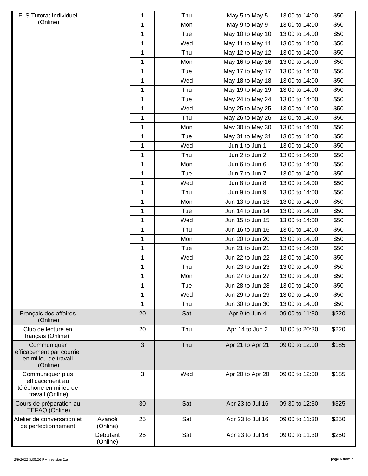| <b>FLS Tutorat Individuel</b>                                                     |                      | 1            | Thu | May 5 to May 5   | 13:00 to 14:00 | \$50  |
|-----------------------------------------------------------------------------------|----------------------|--------------|-----|------------------|----------------|-------|
| (Online)                                                                          |                      | 1            | Mon | May 9 to May 9   | 13:00 to 14:00 | \$50  |
|                                                                                   |                      | $\mathbf 1$  | Tue | May 10 to May 10 | 13:00 to 14:00 | \$50  |
|                                                                                   |                      | 1            | Wed | May 11 to May 11 | 13:00 to 14:00 | \$50  |
|                                                                                   |                      | 1            | Thu | May 12 to May 12 | 13:00 to 14:00 | \$50  |
|                                                                                   |                      | 1            | Mon | May 16 to May 16 | 13:00 to 14:00 | \$50  |
|                                                                                   |                      | 1            | Tue | May 17 to May 17 | 13:00 to 14:00 | \$50  |
|                                                                                   |                      | 1            | Wed | May 18 to May 18 | 13:00 to 14:00 | \$50  |
|                                                                                   |                      | 1            | Thu | May 19 to May 19 | 13:00 to 14:00 | \$50  |
|                                                                                   |                      | 1            | Tue | May 24 to May 24 | 13:00 to 14:00 | \$50  |
|                                                                                   |                      | 1            | Wed | May 25 to May 25 | 13:00 to 14:00 | \$50  |
|                                                                                   |                      | 1            | Thu | May 26 to May 26 | 13:00 to 14:00 | \$50  |
|                                                                                   |                      | $\mathbf{1}$ | Mon | May 30 to May 30 | 13:00 to 14:00 | \$50  |
|                                                                                   |                      | 1            | Tue | May 31 to May 31 | 13:00 to 14:00 | \$50  |
|                                                                                   |                      | $\mathbf{1}$ | Wed | Jun 1 to Jun 1   | 13:00 to 14:00 | \$50  |
|                                                                                   |                      | 1            | Thu | Jun 2 to Jun 2   | 13:00 to 14:00 | \$50  |
|                                                                                   |                      | $\mathbf{1}$ | Mon | Jun 6 to Jun 6   | 13:00 to 14:00 | \$50  |
|                                                                                   |                      | 1            | Tue | Jun 7 to Jun 7   | 13:00 to 14:00 | \$50  |
|                                                                                   |                      | 1            | Wed | Jun 8 to Jun 8   | 13:00 to 14:00 | \$50  |
|                                                                                   |                      | 1            | Thu | Jun 9 to Jun 9   | 13:00 to 14:00 | \$50  |
|                                                                                   |                      | 1            | Mon | Jun 13 to Jun 13 | 13:00 to 14:00 | \$50  |
|                                                                                   |                      | 1            | Tue | Jun 14 to Jun 14 | 13:00 to 14:00 | \$50  |
|                                                                                   |                      | 1            | Wed | Jun 15 to Jun 15 | 13:00 to 14:00 | \$50  |
|                                                                                   |                      | 1            | Thu | Jun 16 to Jun 16 | 13:00 to 14:00 | \$50  |
|                                                                                   |                      | 1            | Mon | Jun 20 to Jun 20 | 13:00 to 14:00 | \$50  |
|                                                                                   |                      | 1            | Tue | Jun 21 to Jun 21 | 13:00 to 14:00 | \$50  |
|                                                                                   |                      | $\mathbf 1$  | Wed | Jun 22 to Jun 22 | 13:00 to 14:00 | \$50  |
|                                                                                   |                      | 1            | Thu | Jun 23 to Jun 23 | 13:00 to 14:00 | \$50  |
|                                                                                   |                      | 1            | Mon | Jun 27 to Jun 27 | 13:00 to 14:00 | \$50  |
|                                                                                   |                      | 1            | Tue | Jun 28 to Jun 28 | 13:00 to 14:00 | \$50  |
|                                                                                   |                      | 1            | Wed | Jun 29 to Jun 29 | 13:00 to 14:00 | \$50  |
|                                                                                   |                      | 1            | Thu | Jun 30 to Jun 30 | 13:00 to 14:00 | \$50  |
| Français des affaires<br>(Online)                                                 |                      | 20           | Sat | Apr 9 to Jun 4   | 09:00 to 11:30 | \$220 |
| Club de lecture en<br>français (Online)                                           |                      | 20           | Thu | Apr 14 to Jun 2  | 18:00 to 20:30 | \$220 |
| Communiquer<br>efficacement par courriel<br>en milieu de travail<br>(Online)      |                      | 3            | Thu | Apr 21 to Apr 21 | 09:00 to 12:00 | \$185 |
| Communiquer plus<br>efficacement au<br>téléphone en milieu de<br>travail (Online) |                      | 3            | Wed | Apr 20 to Apr 20 | 09:00 to 12:00 | \$185 |
| Cours de préparation au<br>TEFAQ (Online)                                         |                      | 30           | Sat | Apr 23 to Jul 16 | 09:30 to 12:30 | \$325 |
| Atelier de conversation et<br>de perfectionnement                                 | Avancé<br>(Online)   | 25           | Sat | Apr 23 to Jul 16 | 09:00 to 11:30 | \$250 |
|                                                                                   | Débutant<br>(Online) | 25           | Sat | Apr 23 to Jul 16 | 09:00 to 11:30 | \$250 |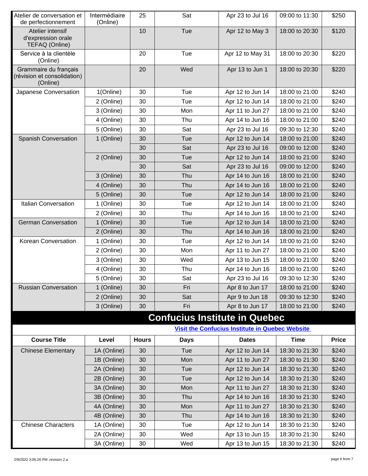| Atelier de conversation et<br>de perfectionnement                | Intermédiaire<br>(Online) | 25           | Sat                                  | Apr 23 to Jul 16                                       | 09:00 to 11:30 | \$250        |
|------------------------------------------------------------------|---------------------------|--------------|--------------------------------------|--------------------------------------------------------|----------------|--------------|
| Atelier intensif<br>d'expression orale<br>TEFAQ (Online)         |                           | 10           | Tue                                  | Apr 12 to May 3                                        | 18:00 to 20:30 | \$120        |
| Service à la clientèle<br>(Online)                               |                           | 20           | Tue                                  | Apr 12 to May 31                                       | 18:00 to 20:30 | \$220        |
| Grammaire du français<br>(révision et consolidation)<br>(Online) |                           | 20           | Wed                                  | Apr 13 to Jun 1                                        | 18:00 to 20:30 | \$220        |
| Japanese Conversation                                            | 1(Online)                 | 30           | Tue                                  | Apr 12 to Jun 14                                       | 18:00 to 21:00 | \$240        |
|                                                                  | 2 (Online)                | 30           | Tue                                  | Apr 12 to Jun 14                                       | 18:00 to 21:00 | \$240        |
|                                                                  | 3 (Online)                | 30           | Mon                                  | Apr 11 to Jun 27                                       | 18:00 to 21:00 | \$240        |
|                                                                  | 4 (Online)                | 30           | Thu                                  | Apr 14 to Jun 16                                       | 18:00 to 21:00 | \$240        |
|                                                                  | 5 (Online)                | 30           | Sat                                  | Apr 23 to Jul 16                                       | 09:30 to 12:30 | \$240        |
| <b>Spanish Conversation</b>                                      | 1 (Online)                | 30           | Tue                                  | Apr 12 to Jun 14                                       | 18:00 to 21:00 | \$240        |
|                                                                  |                           | 30           | Sat                                  | Apr 23 to Jul 16                                       | 09:00 to 12:00 | \$240        |
|                                                                  | 2 (Online)                | 30           | Tue                                  | Apr 12 to Jun 14                                       | 18:00 to 21:00 | \$240        |
|                                                                  |                           | 30           | Sat                                  | Apr 23 to Jul 16                                       | 09:00 to 12:00 | \$240        |
|                                                                  | 3 (Online)                | 30           | Thu                                  | Apr 14 to Jun 16                                       | 18:00 to 21:00 | \$240        |
|                                                                  | 4 (Online)                | 30           | Thu                                  | Apr 14 to Jun 16                                       | 18:00 to 21:00 | \$240        |
|                                                                  | 5 (Online)                | 30           | Tue                                  | Apr 12 to Jun 14                                       | 18:00 to 21:00 | \$240        |
| <b>Italian Conversation</b>                                      | 1 (Online)                | 30           | Tue                                  | Apr 12 to Jun 14                                       | 18:00 to 21:00 | \$240        |
|                                                                  | 2 (Online)                | 30           | Thu                                  | Apr 14 to Jun 16                                       | 18:00 to 21:00 | \$240        |
| <b>German Conversation</b>                                       | 1 (Online)                | 30           | Tue                                  | Apr 12 to Jun 14                                       | 18:00 to 21:00 | \$240        |
|                                                                  | 2 (Online)                | 30           | Thu                                  | Apr 14 to Jun 16                                       | 18:00 to 21:00 | \$240        |
| Korean Conversation                                              | 1 (Online)                | 30           | Tue                                  | Apr 12 to Jun 14                                       | 18:00 to 21:00 | \$240        |
|                                                                  | 2 (Online)                | 30           | Mon                                  | Apr 11 to Jun 27                                       | 18:00 to 21:00 | \$240        |
|                                                                  | 3 (Online)                | 30           | Wed                                  | Apr 13 to Jun 15                                       | 18:00 to 21:00 | \$240        |
|                                                                  | 4 (Online)                | 30           | Thu                                  | Apr 14 to Jun 16                                       | 18:00 to 21:00 | \$240        |
|                                                                  | 5 (Online)                | 30           | Sat                                  | Apr 23 to Jul 16                                       | 09:30 to 12:30 | \$240        |
| <b>Russian Conversation</b>                                      | 1 (Online)                | 30           | Fri                                  | Apr 8 to Jun 17                                        | 18:00 to 21:00 | \$240        |
|                                                                  | 2 (Online)                | 30           | Sat                                  | Apr 9 to Jun 18                                        | 09:30 to 12:30 | \$240        |
|                                                                  | 3 (Online)                | 30           | Fri                                  | Apr 8 to Jun 17                                        | 18:00 to 21:00 | \$240        |
|                                                                  |                           |              | <b>Confucius Institute in Quebec</b> |                                                        |                |              |
|                                                                  |                           |              |                                      | <b>Visit the Confucius Institute in Quebec Website</b> |                |              |
| <b>Course Title</b>                                              | Level                     | <b>Hours</b> | <b>Days</b>                          | <b>Dates</b>                                           | <b>Time</b>    | <b>Price</b> |
| <b>Chinese Elementary</b>                                        | 1A (Online)               | 30           | Tue                                  | Apr 12 to Jun 14                                       | 18:30 to 21:30 | \$240        |
|                                                                  | 1B (Online)               | 30           | Mon                                  | Apr 11 to Jun 27                                       | 18:30 to 21:30 | \$240        |
|                                                                  | 2A (Online)               | 30           | Tue                                  | Apr 12 to Jun 14                                       | 18:30 to 21:30 | \$240        |
|                                                                  | 2B (Online)               | 30           | Tue                                  | Apr 12 to Jun 14                                       | 18:30 to 21:30 | \$240        |
|                                                                  | 3A (Online)               | 30           | Mon                                  | Apr 11 to Jun 27                                       | 18:30 to 21:30 | \$240        |
|                                                                  | 3B (Online)               | 30           | Thu                                  | Apr 14 to Jun 16                                       | 18:30 to 21:30 | \$240        |
|                                                                  | 4A (Online)               | 30           | Mon                                  | Apr 11 to Jun 27                                       | 18:30 to 21:30 | \$240        |
|                                                                  | 4B (Online)               | 30           | Thu                                  | Apr 14 to Jun 16                                       | 18:30 to 21:30 | \$240        |
| <b>Chinese Characters</b>                                        | 1A (Online)               | 30           | Tue                                  | Apr 12 to Jun 14                                       | 18:30 to 21:30 | \$240        |
|                                                                  | 2A (Online)               | 30           | Wed                                  | Apr 13 to Jun 15                                       | 18:30 to 21:30 | \$240        |
|                                                                  | 3A (Online)               | 30           | Wed                                  | Apr 13 to Jun 15                                       | 18:30 to 21:30 | \$240        |